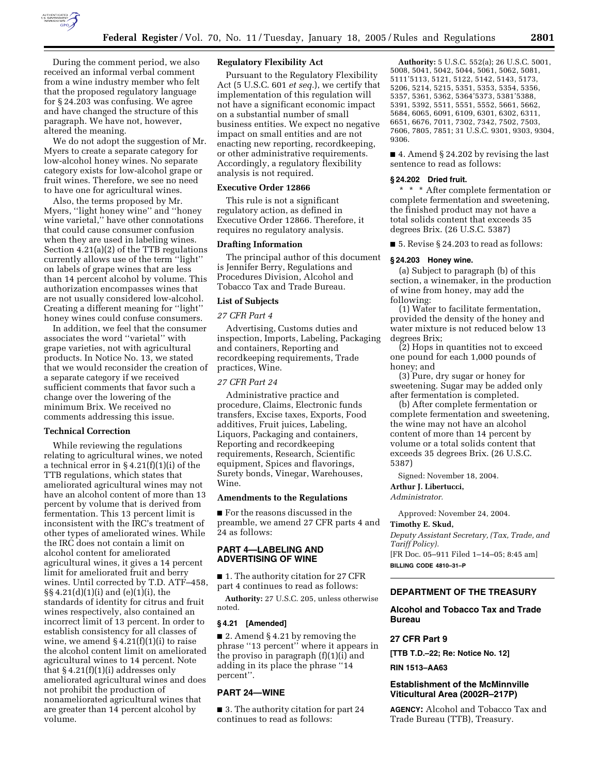

During the comment period, we also received an informal verbal comment from a wine industry member who felt that the proposed regulatory language for § 24.203 was confusing. We agree and have changed the structure of this paragraph. We have not, however, altered the meaning.

We do not adopt the suggestion of Mr. Myers to create a separate category for low-alcohol honey wines. No separate category exists for low-alcohol grape or fruit wines. Therefore, we see no need to have one for agricultural wines.

Also, the terms proposed by Mr. Myers, ''light honey wine'' and ''honey wine varietal,'' have other connotations that could cause consumer confusion when they are used in labeling wines. Section 4.21(a)(2) of the TTB regulations currently allows use of the term ''light'' on labels of grape wines that are less than 14 percent alcohol by volume. This authorization encompasses wines that are not usually considered low-alcohol. Creating a different meaning for ''light'' honey wines could confuse consumers.

In addition, we feel that the consumer associates the word ''varietal'' with grape varieties, not with agricultural products. In Notice No. 13, we stated that we would reconsider the creation of a separate category if we received sufficient comments that favor such a change over the lowering of the minimum Brix. We received no comments addressing this issue.

#### **Technical Correction**

While reviewing the regulations relating to agricultural wines, we noted a technical error in § 4.21(f)(1)(i) of the TTB regulations, which states that ameliorated agricultural wines may not have an alcohol content of more than 13 percent by volume that is derived from fermentation. This 13 percent limit is inconsistent with the IRC's treatment of other types of ameliorated wines. While the IRC does not contain a limit on alcohol content for ameliorated agricultural wines, it gives a 14 percent limit for ameliorated fruit and berry wines. Until corrected by T.D. ATF–458, §§ 4.21(d)(1)(i) and (e)(1)(i), the standards of identity for citrus and fruit wines respectively, also contained an incorrect limit of 13 percent. In order to establish consistency for all classes of wine, we amend  $\S 4.21(f)(1)(i)$  to raise the alcohol content limit on ameliorated agricultural wines to 14 percent. Note that  $\S 4.21(f)(1)(i)$  addresses only ameliorated agricultural wines and does not prohibit the production of nonameliorated agricultural wines that are greater than 14 percent alcohol by volume.

## **Regulatory Flexibility Act**

Pursuant to the Regulatory Flexibility Act (5 U.S.C. 601 *et seq.*), we certify that implementation of this regulation will not have a significant economic impact on a substantial number of small business entities. We expect no negative impact on small entities and are not enacting new reporting, recordkeeping, or other administrative requirements. Accordingly, a regulatory flexibility analysis is not required.

#### **Executive Order 12866**

This rule is not a significant regulatory action, as defined in Executive Order 12866. Therefore, it requires no regulatory analysis.

#### **Drafting Information**

The principal author of this document is Jennifer Berry, Regulations and Procedures Division, Alcohol and Tobacco Tax and Trade Bureau.

### **List of Subjects**

### *27 CFR Part 4*

Advertising, Customs duties and inspection, Imports, Labeling, Packaging and containers, Reporting and recordkeeping requirements, Trade practices, Wine.

## *27 CFR Part 24*

Administrative practice and procedure, Claims, Electronic funds transfers, Excise taxes, Exports, Food additives, Fruit juices, Labeling, Liquors, Packaging and containers, Reporting and recordkeeping requirements, Research, Scientific equipment, Spices and flavorings, Surety bonds, Vinegar, Warehouses, Wine.

#### **Amendments to the Regulations**

■ For the reasons discussed in the preamble, we amend 27 CFR parts 4 and 24 as follows:

### **PART 4—LABELING AND ADVERTISING OF WINE**

■ 1. The authority citation for 27 CFR part 4 continues to read as follows:

**Authority:** 27 U.S.C. 205, unless otherwise noted.

#### **§ 4.21 [Amended]**

■ 2. Amend § 4.21 by removing the phrase ''13 percent'' where it appears in the proviso in paragraph (f)(1)(i) and adding in its place the phrase ''14 percent''.

## **PART 24—WINE**

■ 3. The authority citation for part 24 continues to read as follows:

**Authority:** 5 U.S.C. 552(a); 26 U.S.C. 5001, 5008, 5041, 5042, 5044, 5061, 5062, 5081, 5111'5113, 5121, 5122, 5142, 5143, 5173, 5206, 5214, 5215, 5351, 5353, 5354, 5356, 5357, 5361, 5362, 5364'5373, 5381'5388, 5391, 5392, 5511, 5551, 5552, 5661, 5662, 5684, 6065, 6091, 6109, 6301, 6302, 6311, 6651, 6676, 7011, 7302, 7342, 7502, 7503, 7606, 7805, 7851; 31 U.S.C. 9301, 9303, 9304, 9306.

■ 4. Amend § 24.202 by revising the last sentence to read as follows:

#### **§ 24.202 Dried fruit.**

\* \* \* After complete fermentation or complete fermentation and sweetening, the finished product may not have a total solids content that exceeds 35 degrees Brix. (26 U.S.C. 5387)

■ 5. Revise § 24.203 to read as follows:

#### **§ 24.203 Honey wine.**

(a) Subject to paragraph (b) of this section, a winemaker, in the production of wine from honey, may add the following:

(1) Water to facilitate fermentation, provided the density of the honey and water mixture is not reduced below 13 degrees Brix;

(2) Hops in quantities not to exceed one pound for each 1,000 pounds of honey; and

(3) Pure, dry sugar or honey for sweetening. Sugar may be added only after fermentation is completed.

(b) After complete fermentation or complete fermentation and sweetening, the wine may not have an alcohol content of more than 14 percent by volume or a total solids content that exceeds 35 degrees Brix. (26 U.S.C. 5387)

Signed: November 18, 2004. **Arthur J. Libertucci,** 

*Administrator.*

Approved: November 24, 2004. **Timothy E. Skud,** 

*Deputy Assistant Secretary, (Tax, Trade, and Tariff Policy).* [FR Doc. 05–911 Filed 1–14–05; 8:45 am] **BILLING CODE 4810–31–P**

## **DEPARTMENT OF THE TREASURY**

## **Alcohol and Tobacco Tax and Trade Bureau**

## **27 CFR Part 9**

**[TTB T.D.–22; Re: Notice No. 12]** 

#### **RIN 1513–AA63**

## **Establishment of the McMinnville Viticultural Area (2002R–217P)**

**AGENCY:** Alcohol and Tobacco Tax and Trade Bureau (TTB), Treasury.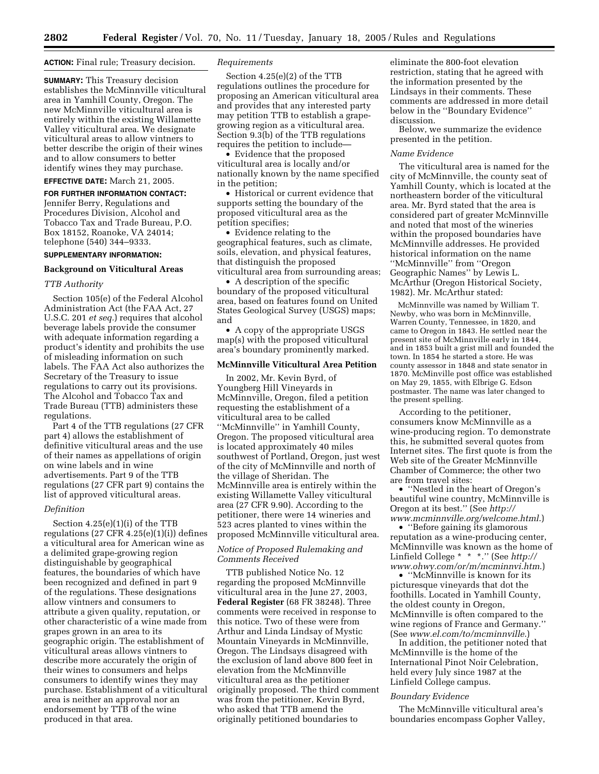#### **ACTION:** Final rule; Treasury decision.

**SUMMARY:** This Treasury decision establishes the McMinnville viticultural area in Yamhill County, Oregon. The new McMinnville viticultural area is entirely within the existing Willamette Valley viticultural area. We designate viticultural areas to allow vintners to better describe the origin of their wines and to allow consumers to better identify wines they may purchase.

## **EFFECTIVE DATE:** March 21, 2005.

**FOR FURTHER INFORMATION CONTACT:** Jennifer Berry, Regulations and Procedures Division, Alcohol and Tobacco Tax and Trade Bureau, P.O. Box 18152, Roanoke, VA 24014; telephone (540) 344–9333.

## **SUPPLEMENTARY INFORMATION:**

#### **Background on Viticultural Areas**

### *TTB Authority*

Section 105(e) of the Federal Alcohol Administration Act (the FAA Act, 27 U.S.C. 201 *et seq.*) requires that alcohol beverage labels provide the consumer with adequate information regarding a product's identity and prohibits the use of misleading information on such labels. The FAA Act also authorizes the Secretary of the Treasury to issue regulations to carry out its provisions. The Alcohol and Tobacco Tax and Trade Bureau (TTB) administers these regulations.

Part 4 of the TTB regulations (27 CFR part 4) allows the establishment of definitive viticultural areas and the use of their names as appellations of origin on wine labels and in wine advertisements. Part 9 of the TTB regulations (27 CFR part 9) contains the list of approved viticultural areas.

#### *Definition*

Section 4.25(e)(1)(i) of the TTB regulations  $(27 \text{ CFR } 4.25(e)(1)(i))$  defines a viticultural area for American wine as a delimited grape-growing region distinguishable by geographical features, the boundaries of which have been recognized and defined in part 9 of the regulations. These designations allow vintners and consumers to attribute a given quality, reputation, or other characteristic of a wine made from grapes grown in an area to its geographic origin. The establishment of viticultural areas allows vintners to describe more accurately the origin of their wines to consumers and helps consumers to identify wines they may purchase. Establishment of a viticultural area is neither an approval nor an endorsement by TTB of the wine produced in that area.

### *Requirements*

Section 4.25(e)(2) of the TTB regulations outlines the procedure for proposing an American viticultural area and provides that any interested party may petition TTB to establish a grapegrowing region as a viticultural area. Section 9.3(b) of the TTB regulations requires the petition to include—

• Evidence that the proposed viticultural area is locally and/or nationally known by the name specified in the petition;

• Historical or current evidence that supports setting the boundary of the proposed viticultural area as the petition specifies;

• Evidence relating to the geographical features, such as climate, soils, elevation, and physical features, that distinguish the proposed viticultural area from surrounding areas;

• A description of the specific boundary of the proposed viticultural area, based on features found on United States Geological Survey (USGS) maps; and

• A copy of the appropriate USGS map(s) with the proposed viticultural area's boundary prominently marked.

## **McMinnville Viticultural Area Petition**

In 2002, Mr. Kevin Byrd, of Youngberg Hill Vineyards in McMinnville, Oregon, filed a petition requesting the establishment of a viticultural area to be called ''McMinnville'' in Yamhill County, Oregon. The proposed viticultural area is located approximately 40 miles southwest of Portland, Oregon, just west of the city of McMinnville and north of the village of Sheridan. The McMinnville area is entirely within the existing Willamette Valley viticultural area (27 CFR 9.90). According to the petitioner, there were 14 wineries and 523 acres planted to vines within the proposed McMinnville viticultural area.

## *Notice of Proposed Rulemaking and Comments Received*

TTB published Notice No. 12 regarding the proposed McMinnville viticultural area in the June 27, 2003, **Federal Register** (68 FR 38248). Three comments were received in response to this notice. Two of these were from Arthur and Linda Lindsay of Mystic Mountain Vineyards in McMinnville, Oregon. The Lindsays disagreed with the exclusion of land above 800 feet in elevation from the McMinnville viticultural area as the petitioner originally proposed. The third comment was from the petitioner, Kevin Byrd, who asked that TTB amend the originally petitioned boundaries to

eliminate the 800-foot elevation restriction, stating that he agreed with the information presented by the Lindsays in their comments. These comments are addressed in more detail below in the ''Boundary Evidence'' discussion.

Below, we summarize the evidence presented in the petition.

#### *Name Evidence*

The viticultural area is named for the city of McMinnville, the county seat of Yamhill County, which is located at the northeastern border of the viticultural area. Mr. Byrd stated that the area is considered part of greater McMinnville and noted that most of the wineries within the proposed boundaries have McMinnville addresses. He provided historical information on the name ''McMinnville'' from ''Oregon Geographic Names'' by Lewis L. McArthur (Oregon Historical Society, 1982). Mr. McArthur stated:

McMinnville was named by William T. Newby, who was born in McMinnville, Warren County, Tennessee, in 1820, and came to Oregon in 1843. He settled near the present site of McMinnville early in 1844, and in 1853 built a grist mill and founded the town. In 1854 he started a store. He was county assessor in 1848 and state senator in 1870. McMinville post office was established on May 29, 1855, with Elbrige G. Edson postmaster. The name was later changed to the present spelling.

According to the petitioner, consumers know McMinnville as a wine-producing region. To demonstrate this, he submitted several quotes from Internet sites. The first quote is from the Web site of the Greater McMinnville Chamber of Commerce; the other two are from travel sites:

• ''Nestled in the heart of Oregon's beautiful wine country, McMinnville is Oregon at its best.'' (See *http:// www.mcminnville.org/welcome.html*.)

• ''Before gaining its glamorous reputation as a wine-producing center, McMinnville was known as the home of Linfield College \* \* \*.'' (See *http:// www.ohwy.com/or/m/mcminnvi.htm*.)

• "McMinnville is known for its picturesque vineyards that dot the foothills. Located in Yamhill County, the oldest county in Oregon, McMinnville is often compared to the wine regions of France and Germany.'' (See *www.el.com/to/mcminnville*.)

In addition, the petitioner noted that McMinnville is the home of the International Pinot Noir Celebration, held every July since 1987 at the Linfield College campus.

#### *Boundary Evidence*

The McMinnville viticultural area's boundaries encompass Gopher Valley,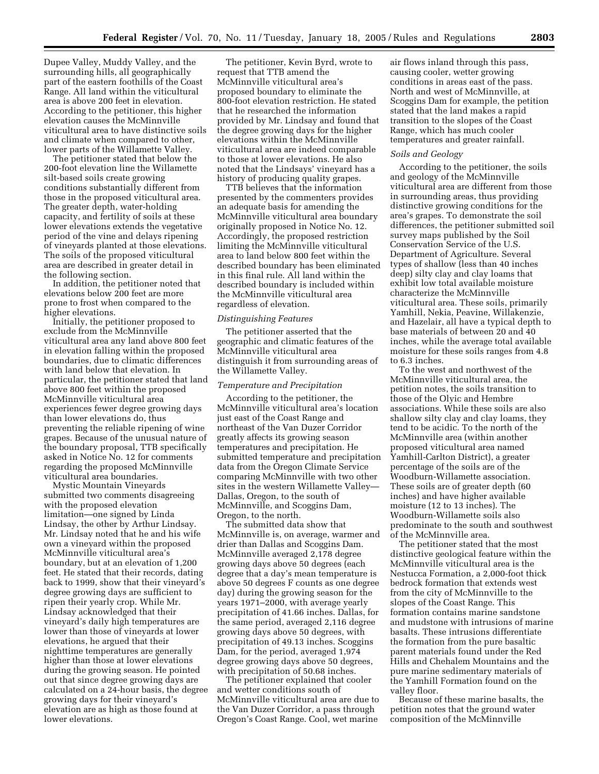Dupee Valley, Muddy Valley, and the surrounding hills, all geographically part of the eastern foothills of the Coast Range. All land within the viticultural area is above 200 feet in elevation. According to the petitioner, this higher elevation causes the McMinnville viticultural area to have distinctive soils and climate when compared to other, lower parts of the Willamette Valley.

The petitioner stated that below the 200-foot elevation line the Willamette silt-based soils create growing conditions substantially different from those in the proposed viticultural area. The greater depth, water-holding capacity, and fertility of soils at these lower elevations extends the vegetative period of the vine and delays ripening of vineyards planted at those elevations. The soils of the proposed viticultural area are described in greater detail in the following section.

In addition, the petitioner noted that elevations below 200 feet are more prone to frost when compared to the higher elevations.

Initially, the petitioner proposed to exclude from the McMinnville viticultural area any land above 800 feet in elevation falling within the proposed boundaries, due to climatic differences with land below that elevation. In particular, the petitioner stated that land above 800 feet within the proposed McMinnville viticultural area experiences fewer degree growing days than lower elevations do, thus preventing the reliable ripening of wine grapes. Because of the unusual nature of the boundary proposal, TTB specifically asked in Notice No. 12 for comments regarding the proposed McMinnville viticultural area boundaries.

Mystic Mountain Vineyards submitted two comments disagreeing with the proposed elevation limitation—one signed by Linda Lindsay, the other by Arthur Lindsay. Mr. Lindsay noted that he and his wife own a vineyard within the proposed McMinnville viticultural area's boundary, but at an elevation of 1,200 feet. He stated that their records, dating back to 1999, show that their vineyard's degree growing days are sufficient to ripen their yearly crop. While Mr. Lindsay acknowledged that their vineyard's daily high temperatures are lower than those of vineyards at lower elevations, he argued that their nighttime temperatures are generally higher than those at lower elevations during the growing season. He pointed out that since degree growing days are calculated on a 24-hour basis, the degree growing days for their vineyard's elevation are as high as those found at lower elevations.

The petitioner, Kevin Byrd, wrote to request that TTB amend the McMinnville viticultural area's proposed boundary to eliminate the 800-foot elevation restriction. He stated that he researched the information provided by Mr. Lindsay and found that the degree growing days for the higher elevations within the McMinnville viticultural area are indeed comparable to those at lower elevations. He also noted that the Lindsays' vineyard has a history of producing quality grapes.

TTB believes that the information presented by the commenters provides an adequate basis for amending the McMinnville viticultural area boundary originally proposed in Notice No. 12. Accordingly, the proposed restriction limiting the McMinnville viticultural area to land below 800 feet within the described boundary has been eliminated in this final rule. All land within the described boundary is included within the McMinnville viticultural area regardless of elevation.

#### *Distinguishing Features*

The petitioner asserted that the geographic and climatic features of the McMinnville viticultural area distinguish it from surrounding areas of the Willamette Valley.

## *Temperature and Precipitation*

According to the petitioner, the McMinnville viticultural area's location just east of the Coast Range and northeast of the Van Duzer Corridor greatly affects its growing season temperatures and precipitation. He submitted temperature and precipitation data from the Oregon Climate Service comparing McMinnville with two other sites in the western Willamette Valley— Dallas, Oregon, to the south of McMinnville, and Scoggins Dam, Oregon, to the north.

The submitted data show that McMinnville is, on average, warmer and drier than Dallas and Scoggins Dam. McMinnville averaged 2,178 degree growing days above 50 degrees (each degree that a day's mean temperature is above 50 degrees F counts as one degree day) during the growing season for the years 1971–2000, with average yearly precipitation of 41.66 inches. Dallas, for the same period, averaged 2,116 degree growing days above 50 degrees, with precipitation of 49.13 inches. Scoggins Dam, for the period, averaged 1,974 degree growing days above 50 degrees, with precipitation of 50.68 inches.

The petitioner explained that cooler and wetter conditions south of McMinnville viticultural area are due to the Van Duzer Corridor, a pass through Oregon's Coast Range. Cool, wet marine

air flows inland through this pass, causing cooler, wetter growing conditions in areas east of the pass. North and west of McMinnville, at Scoggins Dam for example, the petition stated that the land makes a rapid transition to the slopes of the Coast Range, which has much cooler temperatures and greater rainfall.

#### *Soils and Geology*

According to the petitioner, the soils and geology of the McMinnville viticultural area are different from those in surrounding areas, thus providing distinctive growing conditions for the area's grapes. To demonstrate the soil differences, the petitioner submitted soil survey maps published by the Soil Conservation Service of the U.S. Department of Agriculture. Several types of shallow (less than 40 inches deep) silty clay and clay loams that exhibit low total available moisture characterize the McMinnville viticultural area. These soils, primarily Yamhill, Nekia, Peavine, Willakenzie, and Hazelair, all have a typical depth to base materials of between 20 and 40 inches, while the average total available moisture for these soils ranges from 4.8 to 6.3 inches.

To the west and northwest of the McMinnville viticultural area, the petition notes, the soils transition to those of the Olyic and Hembre associations. While these soils are also shallow silty clay and clay loams, they tend to be acidic. To the north of the McMinnville area (within another proposed viticultural area named Yamhill-Carlton District), a greater percentage of the soils are of the Woodburn-Willamette association. These soils are of greater depth (60 inches) and have higher available moisture (12 to 13 inches). The Woodburn-Willamette soils also predominate to the south and southwest of the McMinnville area.

The petitioner stated that the most distinctive geological feature within the McMinnville viticultural area is the Nestucca Formation, a 2,000-foot thick bedrock formation that extends west from the city of McMinnville to the slopes of the Coast Range. This formation contains marine sandstone and mudstone with intrusions of marine basalts. These intrusions differentiate the formation from the pure basaltic parent materials found under the Red Hills and Chehalem Mountains and the pure marine sedimentary materials of the Yamhill Formation found on the valley floor.

Because of these marine basalts, the petition notes that the ground water composition of the McMinnville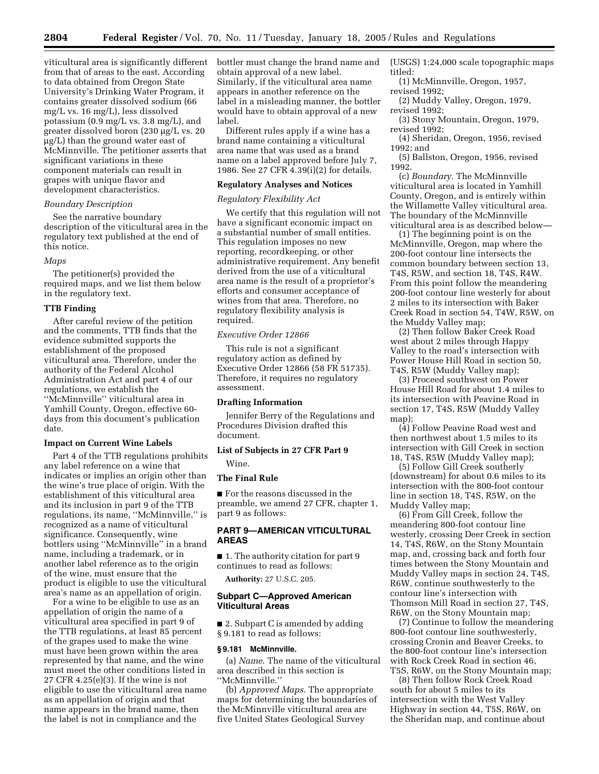viticultural area is significantly different from that of areas to the east. According to data obtained from Oregon State University's Drinking Water Program, it contains greater dissolved sodium (66 mg/L vs. 16 mg/L), less dissolved potassium (0.9 mg/L vs. 3.8 mg/L), and greater dissolved boron (230 µg/L vs. 20 µg/L) than the ground water east of McMinnville. The petitioner asserts that significant variations in these component materials can result in grapes with unique flavor and development characteristics.

#### *Boundary Description*

See the narrative boundary description of the viticultural area in the regulatory text published at the end of this notice.

#### *Maps*

The petitioner(s) provided the required maps, and we list them below in the regulatory text.

#### **TTB Finding**

After careful review of the petition and the comments, TTB finds that the evidence submitted supports the establishment of the proposed viticultural area. Therefore, under the authority of the Federal Alcohol Administration Act and part 4 of our regulations, we establish the ''McMinnville'' viticultural area in Yamhill County, Oregon, effective 60 days from this document's publication date.

## **Impact on Current Wine Labels**

Part 4 of the TTB regulations prohibits any label reference on a wine that indicates or implies an origin other than the wine's true place of origin. With the establishment of this viticultural area and its inclusion in part 9 of the TTB regulations, its name, ''McMinnville,'' is recognized as a name of viticultural significance. Consequently, wine bottlers using ''McMinnville'' in a brand name, including a trademark, or in another label reference as to the origin of the wine, must ensure that the product is eligible to use the viticultural area's name as an appellation of origin.

For a wine to be eligible to use as an appellation of origin the name of a viticultural area specified in part 9 of the TTB regulations, at least 85 percent of the grapes used to make the wine must have been grown within the area represented by that name, and the wine must meet the other conditions listed in 27 CFR 4.25(e)(3). If the wine is not eligible to use the viticultural area name as an appellation of origin and that name appears in the brand name, then the label is not in compliance and the

bottler must change the brand name and obtain approval of a new label. Similarly, if the viticultural area name appears in another reference on the label in a misleading manner, the bottler would have to obtain approval of a new label.

Different rules apply if a wine has a brand name containing a viticultural area name that was used as a brand name on a label approved before July 7, 1986. See 27 CFR 4.39(i)(2) for details.

#### **Regulatory Analyses and Notices**

#### *Regulatory Flexibility Act*

We certify that this regulation will not have a significant economic impact on a substantial number of small entities. This regulation imposes no new reporting, recordkeeping, or other administrative requirement. Any benefit derived from the use of a viticultural area name is the result of a proprietor's efforts and consumer acceptance of wines from that area. Therefore, no regulatory flexibility analysis is required.

#### *Executive Order 12866*

This rule is not a significant regulatory action as defined by Executive Order 12866 (58 FR 51735). Therefore, it requires no regulatory assessment.

## **Drafting Information**

Jennifer Berry of the Regulations and Procedures Division drafted this document.

## **List of Subjects in 27 CFR Part 9**  Wine.

#### **The Final Rule**

■ For the reasons discussed in the preamble, we amend 27 CFR, chapter 1, part 9 as follows:

## **PART 9—AMERICAN VITICULTURAL AREAS**

■ 1. The authority citation for part 9 continues to read as follows:

**Authority:** 27 U.S.C. 205.

## **Subpart C—Approved American Viticultural Areas**

■ 2. Subpart C is amended by adding § 9.181 to read as follows:

#### **§ 9.181 McMinnville.**

(a) *Name*. The name of the viticultural area described in this section is ''McMinnville.''

(b) *Approved Maps*. The appropriate maps for determining the boundaries of the McMinnville viticultural area are five United States Geological Survey

(USGS) 1:24,000 scale topographic maps titled:

- (1) McMinnville, Oregon, 1957, revised 1992;
- (2) Muddy Valley, Oregon, 1979, revised 1992;
- (3) Stony Mountain, Oregon, 1979, revised 1992;

(4) Sheridan, Oregon, 1956, revised 1992; and

(5) Ballston, Oregon, 1956, revised 1992.

(c) *Boundary.* The McMinnville viticultural area is located in Yamhill County, Oregon, and is entirely within the Willamette Valley viticultural area. The boundary of the McMinnville viticultural area is as described below—

(1) The beginning point is on the McMinnville, Oregon, map where the 200-foot contour line intersects the common boundary between section 13, T4S, R5W, and section 18, T4S, R4W. From this point follow the meandering 200-foot contour line westerly for about 2 miles to its intersection with Baker Creek Road in section 54, T4W, R5W, on the Muddy Valley map;

(2) Then follow Baker Creek Road west about 2 miles through Happy Valley to the road's intersection with Power House Hill Road in section 50, T4S, R5W (Muddy Valley map);

(3) Proceed southwest on Power House Hill Road for about 1.4 miles to its intersection with Peavine Road in section 17, T4S, R5W (Muddy Valley map);

(4) Follow Peavine Road west and then northwest about 1.5 miles to its intersection with Gill Creek in section 18, T4S, R5W (Muddy Valley map);

(5) Follow Gill Creek southerly (downstream) for about 0.6 miles to its intersection with the 800-foot contour line in section 18, T4S, R5W, on the Muddy Valley map;

(6) From Gill Creek, follow the meandering 800-foot contour line westerly, crossing Deer Creek in section 14, T4S, R6W, on the Stony Mountain map, and, crossing back and forth four times between the Stony Mountain and Muddy Valley maps in section 24, T4S, R6W, continue southwesterly to the contour line's intersection with Thomson Mill Road in section 27, T4S, R6W, on the Stony Mountain map;

(7) Continue to follow the meandering 800-foot contour line southwesterly, crossing Cronin and Beaver Creeks, to the 800-foot contour line's intersection with Rock Creek Road in section 46, T5S, R6W, on the Stony Mountain map;

(8) Then follow Rock Creek Road south for about 5 miles to its intersection with the West Valley Highway in section 44, T5S, R6W, on the Sheridan map, and continue about